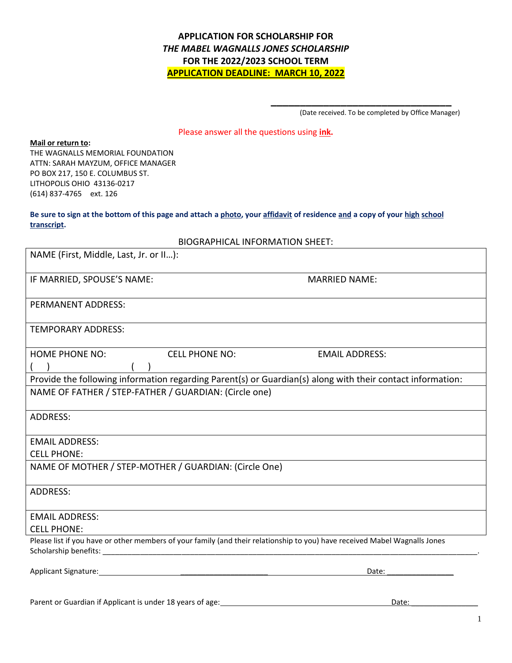# **APPLICATION FOR SCHOLARSHIP FOR** *THE MABEL WAGNALLS JONES SCHOLARSHIP*  **FOR THE 2022/2023 SCHOOL TERM APPLICATION DEADLINE: MARCH 10, 2022**

(Date received. To be completed by Office Manager)

**\_\_\_\_\_\_\_\_\_\_\_\_\_\_\_\_\_\_\_\_\_\_\_\_\_\_\_\_\_\_\_**

## Please answer all the questions using **ink.**

### **Mail or return to:**

THE WAGNALLS MEMORIAL FOUNDATION ATTN: SARAH MAYZUM, OFFICE MANAGER PO BOX 217, 150 E. COLUMBUS ST. LITHOPOLIS OHIO 43136-0217 (614) 837-4765 ext. 126

## **Be sure to sign at the bottom of this page and attach a photo, your affidavit of residence and a copy of your high school transcript.**

|  | <b>BIOGRAPHICAL INFORMATION SHEET:</b> |
|--|----------------------------------------|
|--|----------------------------------------|

| NAME (First, Middle, Last, Jr. or II):                                                                                     |                       |                                                                                                            |
|----------------------------------------------------------------------------------------------------------------------------|-----------------------|------------------------------------------------------------------------------------------------------------|
| IF MARRIED, SPOUSE'S NAME:                                                                                                 |                       | <b>MARRIED NAME:</b>                                                                                       |
| PERMANENT ADDRESS:                                                                                                         |                       |                                                                                                            |
| <b>TEMPORARY ADDRESS:</b>                                                                                                  |                       |                                                                                                            |
| <b>HOME PHONE NO:</b>                                                                                                      | <b>CELL PHONE NO:</b> | <b>EMAIL ADDRESS:</b>                                                                                      |
|                                                                                                                            |                       | Provide the following information regarding Parent(s) or Guardian(s) along with their contact information: |
| NAME OF FATHER / STEP-FATHER / GUARDIAN: (Circle one)                                                                      |                       |                                                                                                            |
| <b>ADDRESS:</b>                                                                                                            |                       |                                                                                                            |
| <b>EMAIL ADDRESS:</b>                                                                                                      |                       |                                                                                                            |
| <b>CELL PHONE:</b>                                                                                                         |                       |                                                                                                            |
| NAME OF MOTHER / STEP-MOTHER / GUARDIAN: (Circle One)                                                                      |                       |                                                                                                            |
| <b>ADDRESS:</b>                                                                                                            |                       |                                                                                                            |
| <b>EMAIL ADDRESS:</b>                                                                                                      |                       |                                                                                                            |
| <b>CELL PHONE:</b>                                                                                                         |                       |                                                                                                            |
| Please list if you have or other members of your family (and their relationship to you) have received Mabel Wagnalls Jones |                       |                                                                                                            |
| Applicant Signature: 1997                                                                                                  |                       | Date:                                                                                                      |

Parent or Guardian if Applicant is under 18 years of age: Date: Date: Date: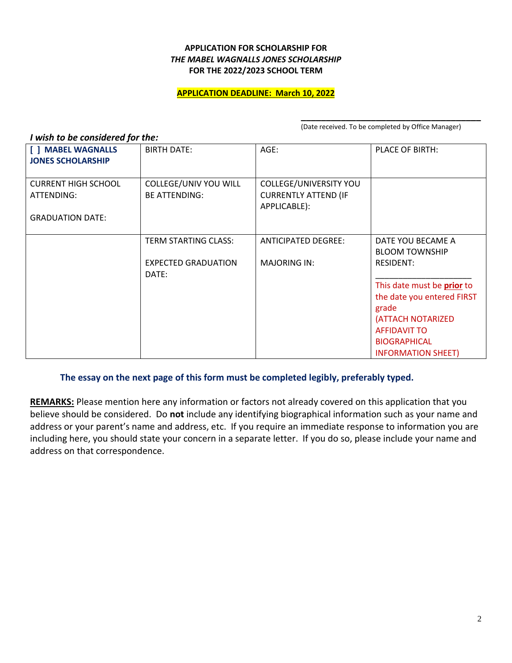## **APPLICATION FOR SCHOLARSHIP FOR** *THE MABEL WAGNALLS JONES SCHOLARSHIP* **FOR THE 2022/2023 SCHOOL TERM**

## **APPLICATION DEADLINE: March 10, 2022**

*I wish to be considered for the:*

**\_\_\_\_\_\_\_\_\_\_\_\_\_\_\_\_\_\_\_\_\_\_\_\_\_\_\_\_\_\_\_\_\_\_\_\_** (Date received. To be completed by Office Manager)

| <b>BIRTH DATE:</b>                            | AGE:                                                                  | <b>PLACE OF BIRTH:</b>                           |
|-----------------------------------------------|-----------------------------------------------------------------------|--------------------------------------------------|
| COLLEGE/UNIV YOU WILL<br><b>BE ATTENDING:</b> | COLLEGE/UNIVERSITY YOU<br><b>CURRENTLY ATTEND (IF</b><br>APPLICABLE): |                                                  |
|                                               |                                                                       |                                                  |
| <b>TERM STARTING CLASS:</b>                   | <b>ANTICIPATED DEGREE:</b>                                            | DATE YOU BECAME A<br><b>BLOOM TOWNSHIP</b>       |
| <b>EXPECTED GRADUATION</b><br>DATE:           | <b>MAJORING IN:</b>                                                   | <b>RESIDENT:</b>                                 |
|                                               |                                                                       | This date must be prior to                       |
|                                               |                                                                       | the date you entered FIRST<br>grade              |
|                                               |                                                                       | (ATTACH NOTARIZED                                |
|                                               |                                                                       | <b>AFFIDAVIT TO</b>                              |
|                                               |                                                                       | <b>BIOGRAPHICAL</b><br><b>INFORMATION SHEET)</b> |
|                                               |                                                                       |                                                  |

**The essay on the next page of this form must be completed legibly, preferably typed.**

**REMARKS:** Please mention here any information or factors not already covered on this application that you believe should be considered. Do **not** include any identifying biographical information such as your name and address or your parent's name and address, etc. If you require an immediate response to information you are including here, you should state your concern in a separate letter. If you do so, please include your name and address on that correspondence.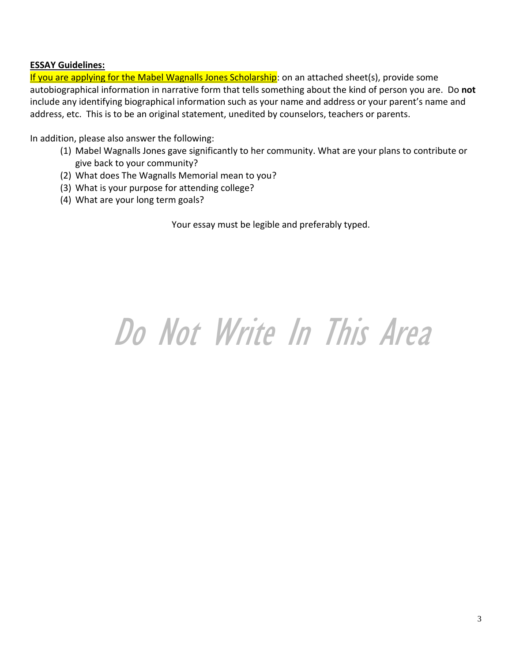## **ESSAY Guidelines:**

If you are applying for the Mabel Wagnalls Jones Scholarship: on an attached sheet(s), provide some autobiographical information in narrative form that tells something about the kind of person you are. Do **not** include any identifying biographical information such as your name and address or your parent's name and address, etc. This is to be an original statement, unedited by counselors, teachers or parents.

In addition, please also answer the following:

- (1) Mabel Wagnalls Jones gave significantly to her community. What are your plans to contribute or give back to your community?
- (2) What does The Wagnalls Memorial mean to you?
- (3) What is your purpose for attending college?
- (4) What are your long term goals?

Your essay must be legible and preferably typed.

# Do Not Write In This Area